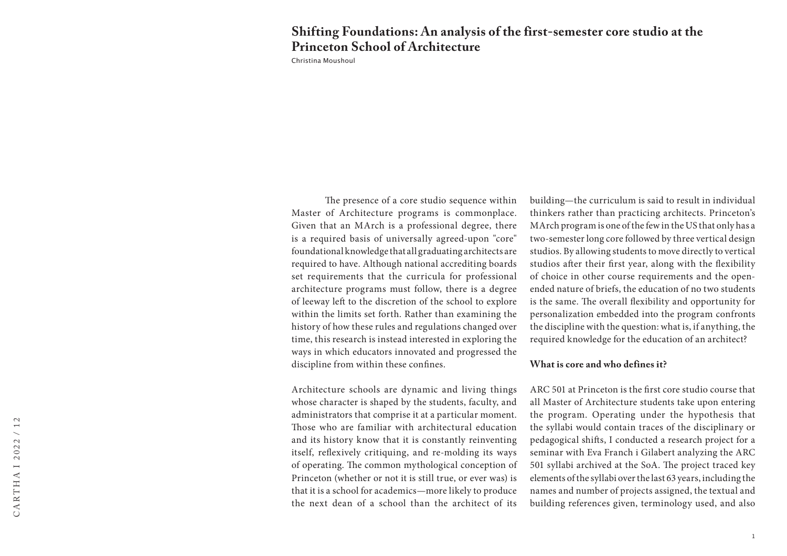# **Shifting Foundations: An analysis of the first-semester core studio at the Princeton School of Architecture**

Christina Moushoul

The presence of a core studio sequence within Master of Architecture programs is commonplace. Given that an MArch is a professional degree, there is a required basis of universally agreed-upon "core" foundational knowledge that all graduating architects are required to have. Although national accrediting boards set requirements that the curricula for professional architecture programs must follow, there is a degree of leeway left to the discretion of the school to explore within the limits set forth. Rather than examining the history of how these rules and regulations changed over time, this research is instead interested in exploring the ways in which educators innovated and progressed the discipline from within these confines.

Architecture schools are dynamic and living things whose character is shaped by the students, faculty, and administrators that comprise it at a particular moment. Those who are familiar with architectural education and its history know that it is constantly reinventing itself, reflexively critiquing, and re-molding its ways of operating. The common mythological conception of Princeton (whether or not it is still true, or ever was) is that it is a school for academics—more likely to produce the next dean of a school than the architect of its building—the curriculum is said to result in individual thinkers rather than practicing architects. Princeton's MArch program is one of the few in the US that only has a two-semester long core followed by three vertical design studios. By allowing students to move directly to vertical studios after their first year, along with the flexibility of choice in other course requirements and the openended nature of briefs, the education of no two students is the same. The overall flexibility and opportunity for personalization embedded into the program confronts the discipline with the question: what is, if anything, the required knowledge for the education of an architect?

### **What is core and who defines it?**

ARC 501 at Princeton is the first core studio course that all Master of Architecture students take upon entering the program. Operating under the hypothesis that the syllabi would contain traces of the disciplinary or pedagogical shifts, I conducted a research project for a seminar with Eva Franch i Gilabert analyzing the ARC 501 syllabi archived at the SoA. The project traced key elements of the syllabi over the last 63 years, including the names and number of projects assigned, the textual and building references given, terminology used, and also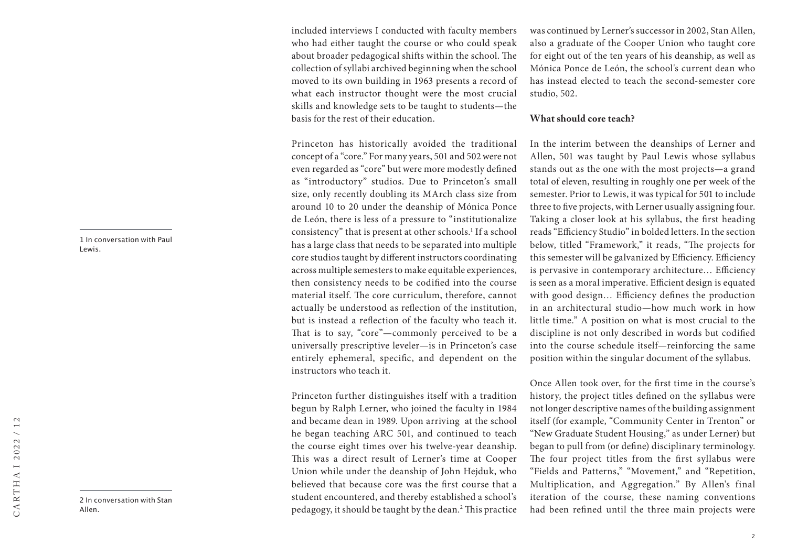1 In conversation with Paul Lewis.

2 In conversation with Stan Allen.

included interviews I conducted with faculty members who had either taught the course or who could speak about broader pedagogical shifts within the school. The collection of syllabi archived beginning when the school moved to its own building in 1963 presents a record of what each instructor thought were the most crucial skills and knowledge sets to be taught to students—the basis for the rest of their education.

Princeton has historically avoided the traditional concept of a "core." For many years, 501 and 502 were not even regarded as "core" but were more modestly defined as "introductory" studios. Due to Princeton's small size, only recently doubling its MArch class size from around 10 to 20 under the deanship of Mónica Ponce de León, there is less of a pressure to "institutionalize consistency" that is present at other schools.1 If a school has a large class that needs to be separated into multiple core studios taught by different instructors coordinating across multiple semesters to make equitable experiences, then consistency needs to be codified into the course material itself. The core curriculum, therefore, cannot actually be understood as reflection of the institution, but is instead a reflection of the faculty who teach it. That is to say, "core"—commonly perceived to be a universally prescriptive leveler—is in Princeton's case entirely ephemeral, specific, and dependent on the instructors who teach it.

Princeton further distinguishes itself with a tradition begun by Ralph Lerner, who joined the faculty in 1984 and became dean in 1989. Upon arriving at the school he began teaching ARC 501, and continued to teach the course eight times over his twelve-year deanship. This was a direct result of Lerner's time at Cooper Union while under the deanship of John Hejduk, who believed that because core was the first course that a student encountered, and thereby established a school's pedagogy, it should be taught by the dean.<sup>2</sup> This practice was continued by Lerner's successor in 2002, Stan Allen, also a graduate of the Cooper Union who taught core for eight out of the ten years of his deanship, as well as Mónica Ponce de León, the school's current dean who has instead elected to teach the second-semester core studio, 502.

## **What should core teach?**

In the interim between the deanships of Lerner and Allen, 501 was taught by Paul Lewis whose syllabus stands out as the one with the most projects—a grand total of eleven, resulting in roughly one per week of the semester. Prior to Lewis, it was typical for 501 to include three to five projects, with Lerner usually assigning four. Taking a closer look at his syllabus, the first heading reads "Efficiency Studio" in bolded letters. In the section below, titled "Framework," it reads, "The projects for this semester will be galvanized by Efficiency. Efficiency is pervasive in contemporary architecture… Efficiency is seen as a moral imperative. Efficient design is equated with good design… Efficiency defines the production in an architectural studio—how much work in how little time." A position on what is most crucial to the discipline is not only described in words but codified into the course schedule itself—reinforcing the same position within the singular document of the syllabus.

Once Allen took over, for the first time in the course's history, the project titles defined on the syllabus were not longer descriptive names of the building assignment itself (for example, "Community Center in Trenton" or "New Graduate Student Housing," as under Lerner) but began to pull from (or define) disciplinary terminology. The four project titles from the first syllabus were "Fields and Patterns," "Movement," and "Repetition, Multiplication, and Aggregation." By Allen's final iteration of the course, these naming conventions had been refined until the three main projects were

 $12$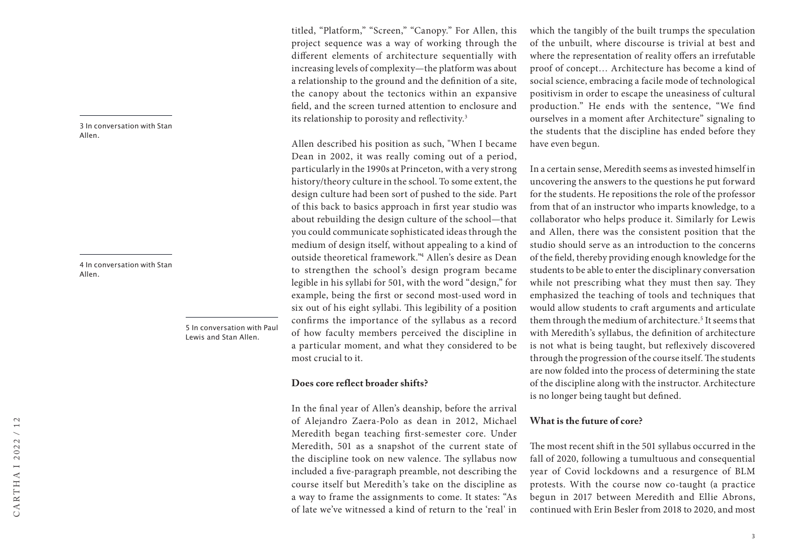3 In conversation with Stan Allen.

4 In conversation with Stan Allen.

> 5 In conversation with Paul Lewis and Stan Allen.

titled, "Platform," "Screen," "Canopy." For Allen, this project sequence was a way of working through the different elements of architecture sequentially with increasing levels of complexity—the platform was about a relationship to the ground and the definition of a site, the canopy about the tectonics within an expansive field, and the screen turned attention to enclosure and its relationship to porosity and reflectivity.3

Allen described his position as such, "When I became Dean in 2002, it was really coming out of a period, particularly in the 1990s at Princeton, with a very strong history/theory culture in the school. To some extent, the design culture had been sort of pushed to the side. Part of this back to basics approach in first year studio was about rebuilding the design culture of the school—that you could communicate sophisticated ideas through the medium of design itself, without appealing to a kind of outside theoretical framework."4 Allen's desire as Dean to strengthen the school's design program became legible in his syllabi for 501, with the word "design," for example, being the first or second most-used word in six out of his eight syllabi. This legibility of a position confirms the importance of the syllabus as a record of how faculty members perceived the discipline in a particular moment, and what they considered to be most crucial to it.

### **Does core reflect broader shifts?**

In the final year of Allen's deanship, before the arrival of Alejandro Zaera-Polo as dean in 2012, Michael Meredith began teaching first-semester core. Under Meredith, 501 as a snapshot of the current state of the discipline took on new valence. The syllabus now included a five-paragraph preamble, not describing the course itself but Meredith's take on the discipline as a way to frame the assignments to come. It states: "As of late we've witnessed a kind of return to the 'real' in

which the tangibly of the built trumps the speculation of the unbuilt, where discourse is trivial at best and where the representation of reality offers an irrefutable proof of concept… Architecture has become a kind of social science, embracing a facile mode of technological positivism in order to escape the uneasiness of cultural production." He ends with the sentence, "We find ourselves in a moment after Architecture" signaling to the students that the discipline has ended before they have even begun.

In a certain sense, Meredith seems as invested himself in uncovering the answers to the questions he put forward for the students. He repositions the role of the professor from that of an instructor who imparts knowledge, to a collaborator who helps produce it. Similarly for Lewis and Allen, there was the consistent position that the studio should serve as an introduction to the concerns of the field, thereby providing enough knowledge for the students to be able to enter the disciplinary conversation while not prescribing what they must then say. They emphasized the teaching of tools and techniques that would allow students to craft arguments and articulate them through the medium of architecture.5 It seems that with Meredith's syllabus, the definition of architecture is not what is being taught, but reflexively discovered through the progression of the course itself. The students are now folded into the process of determining the state of the discipline along with the instructor. Architecture is no longer being taught but defined.

## **What is the future of core?**

The most recent shift in the 501 syllabus occurred in the fall of 2020, following a tumultuous and consequential year of Covid lockdowns and a resurgence of BLM protests. With the course now co-taught (a practice begun in 2017 between Meredith and Ellie Abrons, continued with Erin Besler from 2018 to 2020, and most